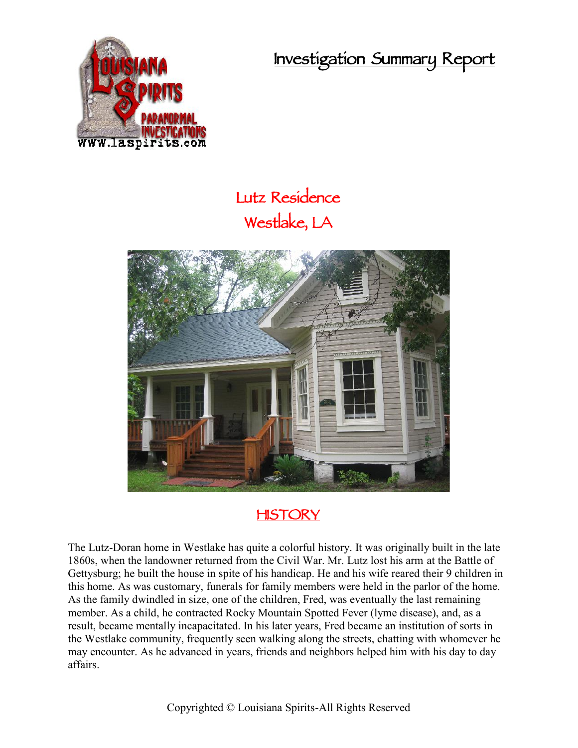**Investigation Summary Report**



## **Lutz Residence Westlake, LA**



## **HISTORY**

The Lutz-Doran home in Westlake has quite a colorful history. It was originally built in the late 1860s, when the landowner returned from the Civil War. Mr. Lutz lost his arm at the Battle of Gettysburg; he built the house in spite of his handicap. He and his wife reared their 9 children in this home. As was customary, funerals for family members were held in the parlor of the home. As the family dwindled in size, one of the children, Fred, was eventually the last remaining member. As a child, he contracted Rocky Mountain Spotted Fever (lyme disease), and, as a result, became mentally incapacitated. In his later years, Fred became an institution of sorts in the Westlake community, frequently seen walking along the streets, chatting with whomever he may encounter. As he advanced in years, friends and neighbors helped him with his day to day affairs.